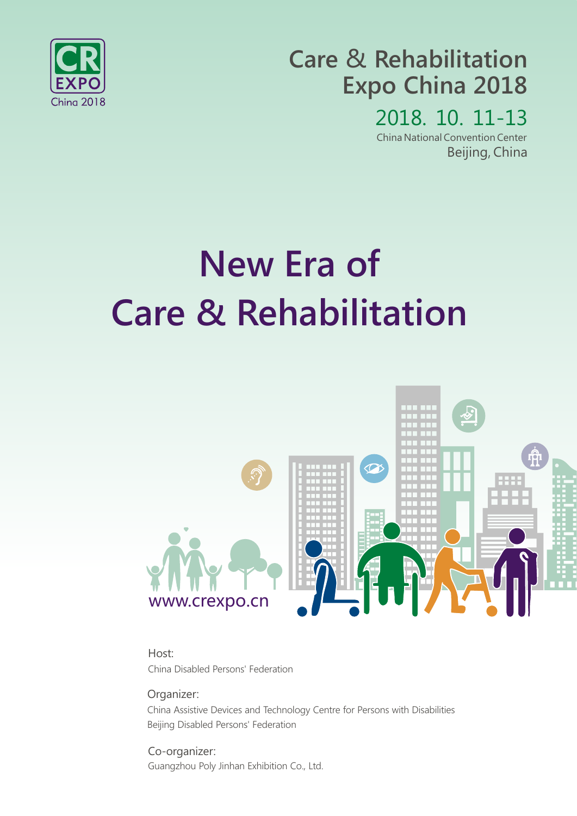

## **Care** & **Rehabilitation Expo China 2018**

2018. 10. 11-13 China National Convention Center Beijing, China

# **New Era of Care & Rehabilitation**



China Disabled Persons' Federation Host:

Organizer:

China Assistive Devices and Technology Centre for Persons with Disabilities Beijing Disabled Persons' Federation

Guangzhou Poly Jinhan Exhibition Co., Ltd. Co-organizer: